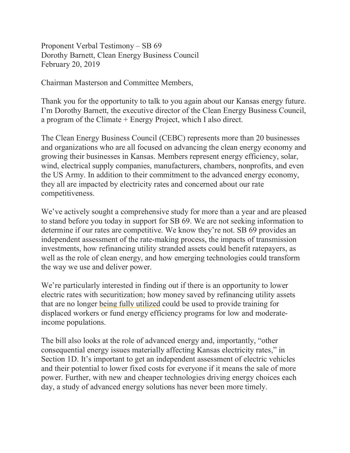Proponent Verbal Testimony – SB 69 Dorothy Barnett, Clean Energy Business Council February 20, 2019

Chairman Masterson and Committee Members,

Thank you for the opportunity to talk to you again about our Kansas energy future. I'm Dorothy Barnett, the executive director of the Clean Energy Business Council, a program of the Climate + Energy Project, which I also direct.

The Clean Energy Business Council (CEBC) represents more than 20 businesses and organizations who are all focused on advancing the clean energy economy and growing their businesses in Kansas. Members represent energy efficiency, solar, wind, electrical supply companies, manufacturers, chambers, nonprofits, and even the US Army. In addition to their commitment to the advanced energy economy, they all are impacted by electricity rates and concerned about our rate competitiveness.

We've actively sought a comprehensive study for more than a year and are pleased to stand before you today in support for SB 69. We are not seeking information to determine if our rates are competitive. We know they're not. SB 69 provides an independent assessment of the rate-making process, the impacts of transmission investments, how refinancing utility stranded assets could benefit ratepayers, as well as the role of clean energy, and how emerging technologies could transform the way we use and deliver power.

We're particularly interested in finding out if there is an opportunity to lower electric rates with securitization; how money saved by refinancing utility assets that are no longer being fully utilized could be used to provide training for displaced workers or fund energy efficiency programs for low and moderateincome populations.

The bill also looks at the role of advanced energy and, importantly, "other consequential energy issues materially affecting Kansas electricity rates," in Section 1D. It's important to get an independent assessment of electric vehicles and their potential to lower fixed costs for everyone if it means the sale of more power. Further, with new and cheaper technologies driving energy choices each day, a study of advanced energy solutions has never been more timely.